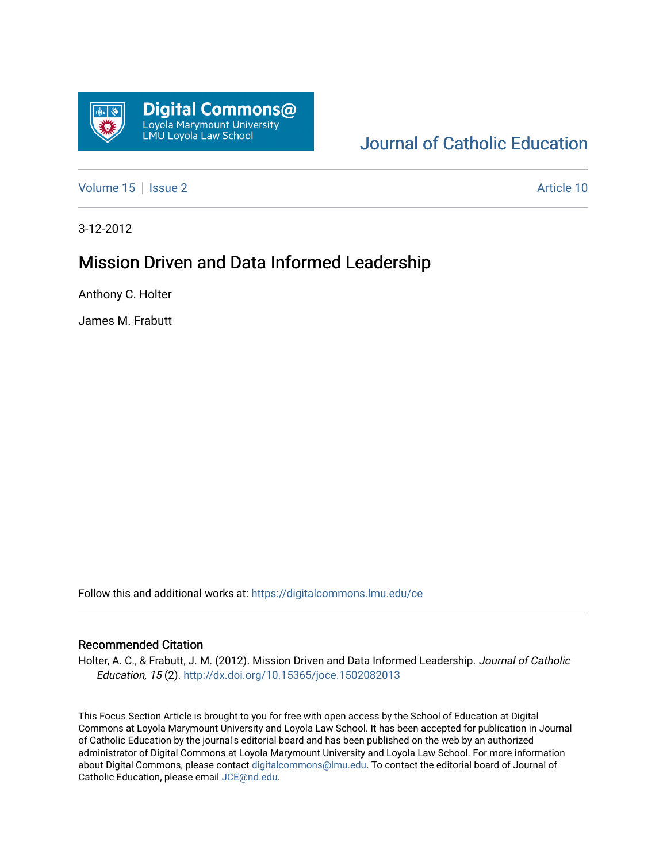

# [Journal of Catholic Education](https://digitalcommons.lmu.edu/ce)

[Volume 15](https://digitalcommons.lmu.edu/ce/vol15) | [Issue 2](https://digitalcommons.lmu.edu/ce/vol15/iss2) Article 10

3-12-2012

# Mission Driven and Data Informed Leadership

Anthony C. Holter

James M. Frabutt

Follow this and additional works at: [https://digitalcommons.lmu.edu/ce](https://digitalcommons.lmu.edu/ce?utm_source=digitalcommons.lmu.edu%2Fce%2Fvol15%2Fiss2%2F10&utm_medium=PDF&utm_campaign=PDFCoverPages)

#### Recommended Citation

Holter, A. C., & Frabutt, J. M. (2012). Mission Driven and Data Informed Leadership. Journal of Catholic Education, 15 (2). <http://dx.doi.org/10.15365/joce.1502082013>

This Focus Section Article is brought to you for free with open access by the School of Education at Digital Commons at Loyola Marymount University and Loyola Law School. It has been accepted for publication in Journal of Catholic Education by the journal's editorial board and has been published on the web by an authorized administrator of Digital Commons at Loyola Marymount University and Loyola Law School. For more information about Digital Commons, please contact [digitalcommons@lmu.edu](mailto:digitalcommons@lmu.edu). To contact the editorial board of Journal of Catholic Education, please email [JCE@nd.edu.](mailto:JCE@nd.edu)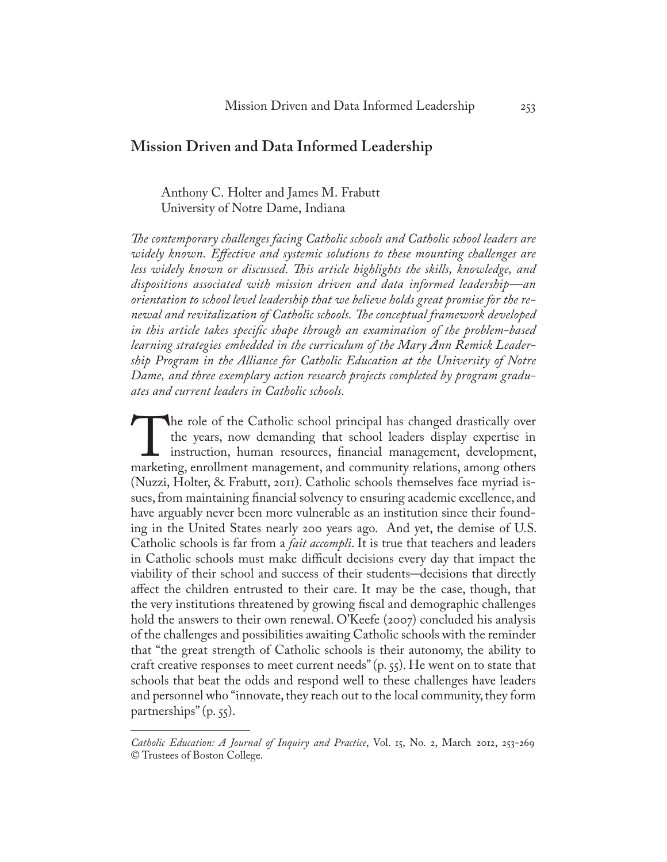## **Mission Driven and Data Informed Leadership**

## Anthony C. Holter and James M. Frabutt University of Notre Dame, Indiana

*The contemporary challenges facing Catholic schools and Catholic school leaders are widely known. Effective and systemic solutions to these mounting challenges are less widely known or discussed. This article highlights the skills, knowledge, and dispositions associated with mission driven and data informed leadership—an orientation to school level leadership that we believe holds great promise for the renewal and revitalization of Catholic schools. The conceptual framework developed in this article takes specific shape through an examination of the problem-based learning strategies embedded in the curriculum of the Mary Ann Remick Leadership Program in the Alliance for Catholic Education at the University of Notre Dame, and three exemplary action research projects completed by program graduates and current leaders in Catholic schools.*

The role of the Catholic school principal has changed drastically over the years, now demanding that school leaders display expertise in instruction, human resources, financial management, development, marketing, enrollmen the years, now demanding that school leaders display expertise in instruction, human resources, financial management, development, marketing, enrollment management, and community relations, among others (Nuzzi, Holter, & Frabutt, 2011). Catholic schools themselves face myriad issues, from maintaining financial solvency to ensuring academic excellence, and have arguably never been more vulnerable as an institution since their founding in the United States nearly 200 years ago. And yet, the demise of U.S. Catholic schools is far from a *fait accompli*. It is true that teachers and leaders in Catholic schools must make difficult decisions every day that impact the viability of their school and success of their students–decisions that directly affect the children entrusted to their care. It may be the case, though, that the very institutions threatened by growing fiscal and demographic challenges hold the answers to their own renewal. O'Keefe (2007) concluded his analysis of the challenges and possibilities awaiting Catholic schools with the reminder that "the great strength of Catholic schools is their autonomy, the ability to craft creative responses to meet current needs" (p. 55). He went on to state that schools that beat the odds and respond well to these challenges have leaders and personnel who "innovate, they reach out to the local community, they form partnerships" (p. 55).

*Catholic Education: A Journal of Inquiry and Practice*, Vol. 15, No. 2, March 2012, 253-269 © Trustees of Boston College.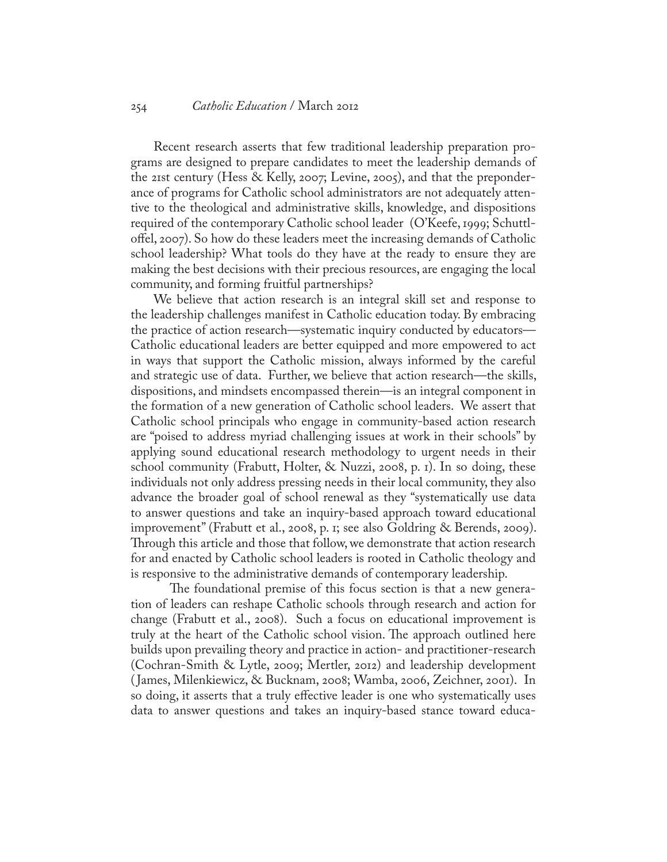#### 254 *Catholic Education* / March 2012

Recent research asserts that few traditional leadership preparation programs are designed to prepare candidates to meet the leadership demands of the 21st century (Hess & Kelly, 2007; Levine, 2005), and that the preponderance of programs for Catholic school administrators are not adequately attentive to the theological and administrative skills, knowledge, and dispositions required of the contemporary Catholic school leader (O'Keefe, 1999; Schuttloffel, 2007). So how do these leaders meet the increasing demands of Catholic school leadership? What tools do they have at the ready to ensure they are making the best decisions with their precious resources, are engaging the local community, and forming fruitful partnerships?

We believe that action research is an integral skill set and response to the leadership challenges manifest in Catholic education today. By embracing the practice of action research—systematic inquiry conducted by educators— Catholic educational leaders are better equipped and more empowered to act in ways that support the Catholic mission, always informed by the careful and strategic use of data. Further, we believe that action research—the skills, dispositions, and mindsets encompassed therein—is an integral component in the formation of a new generation of Catholic school leaders. We assert that Catholic school principals who engage in community-based action research are "poised to address myriad challenging issues at work in their schools" by applying sound educational research methodology to urgent needs in their school community (Frabutt, Holter, & Nuzzi, 2008, p. 1). In so doing, these individuals not only address pressing needs in their local community, they also advance the broader goal of school renewal as they "systematically use data to answer questions and take an inquiry-based approach toward educational improvement" (Frabutt et al., 2008, p. 1; see also Goldring & Berends, 2009). Through this article and those that follow, we demonstrate that action research for and enacted by Catholic school leaders is rooted in Catholic theology and is responsive to the administrative demands of contemporary leadership.

The foundational premise of this focus section is that a new generation of leaders can reshape Catholic schools through research and action for change (Frabutt et al., 2008). Such a focus on educational improvement is truly at the heart of the Catholic school vision. The approach outlined here builds upon prevailing theory and practice in action- and practitioner-research (Cochran-Smith & Lytle, 2009; Mertler, 2012) and leadership development ( James, Milenkiewicz, & Bucknam, 2008; Wamba, 2006, Zeichner, 2001). In so doing, it asserts that a truly effective leader is one who systematically uses data to answer questions and takes an inquiry-based stance toward educa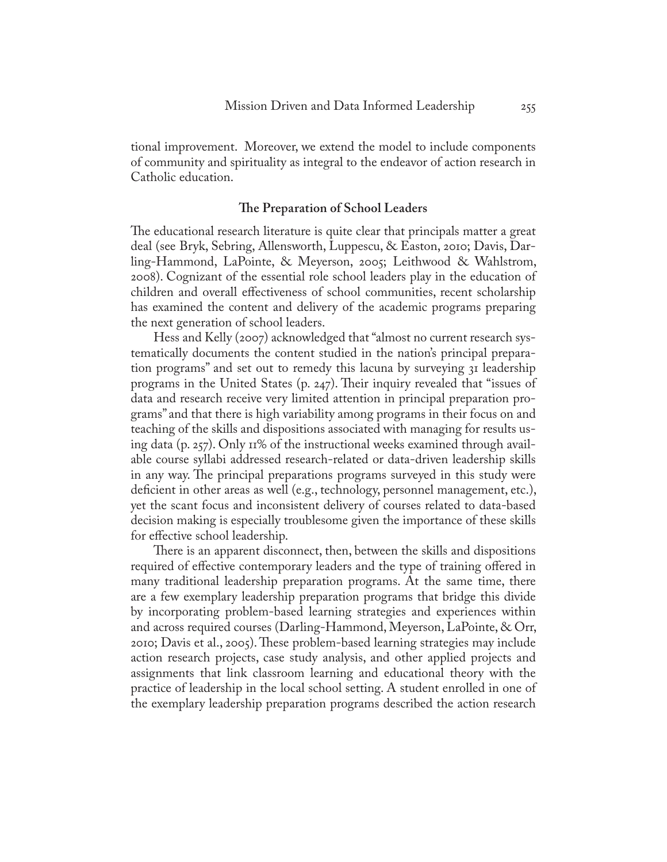tional improvement. Moreover, we extend the model to include components of community and spirituality as integral to the endeavor of action research in Catholic education.

#### **The Preparation of School Leaders**

The educational research literature is quite clear that principals matter a great deal (see Bryk, Sebring, Allensworth, Luppescu, & Easton, 2010; Davis, Darling-Hammond, LaPointe, & Meyerson, 2005; Leithwood & Wahlstrom, 2008). Cognizant of the essential role school leaders play in the education of children and overall effectiveness of school communities, recent scholarship has examined the content and delivery of the academic programs preparing the next generation of school leaders.

Hess and Kelly (2007) acknowledged that "almost no current research systematically documents the content studied in the nation's principal preparation programs" and set out to remedy this lacuna by surveying 31 leadership programs in the United States (p. 247). Their inquiry revealed that "issues of data and research receive very limited attention in principal preparation programs" and that there is high variability among programs in their focus on and teaching of the skills and dispositions associated with managing for results using data (p. 257). Only 11% of the instructional weeks examined through available course syllabi addressed research-related or data-driven leadership skills in any way. The principal preparations programs surveyed in this study were deficient in other areas as well (e.g., technology, personnel management, etc.), yet the scant focus and inconsistent delivery of courses related to data-based decision making is especially troublesome given the importance of these skills for effective school leadership.

There is an apparent disconnect, then, between the skills and dispositions required of effective contemporary leaders and the type of training offered in many traditional leadership preparation programs. At the same time, there are a few exemplary leadership preparation programs that bridge this divide by incorporating problem-based learning strategies and experiences within and across required courses (Darling-Hammond, Meyerson, LaPointe, & Orr, 2010; Davis et al., 2005). These problem-based learning strategies may include action research projects, case study analysis, and other applied projects and assignments that link classroom learning and educational theory with the practice of leadership in the local school setting. A student enrolled in one of the exemplary leadership preparation programs described the action research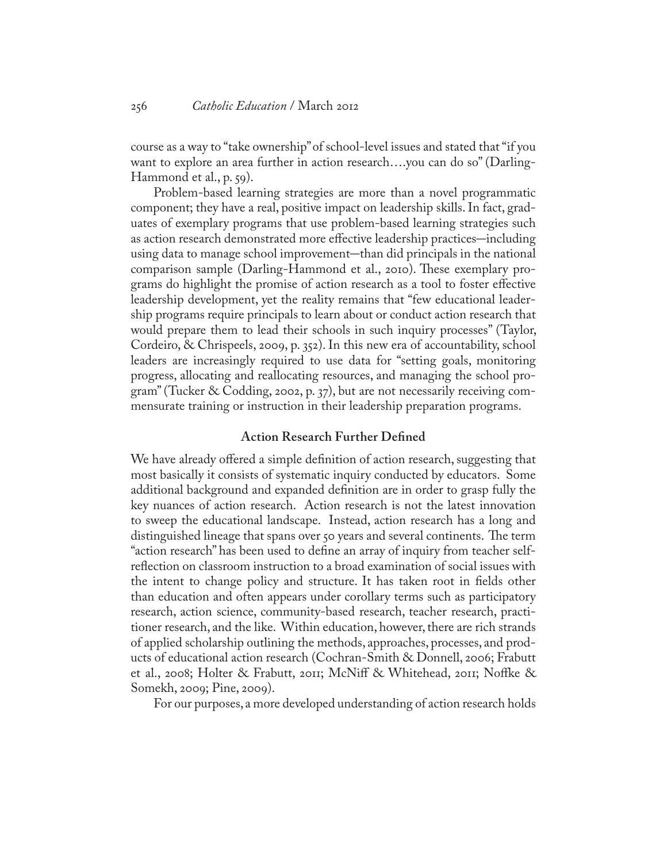course as a way to "take ownership" of school-level issues and stated that "if you want to explore an area further in action research….you can do so" (Darling-Hammond et al., p. 59).

Problem-based learning strategies are more than a novel programmatic component; they have a real, positive impact on leadership skills. In fact, graduates of exemplary programs that use problem-based learning strategies such as action research demonstrated more effective leadership practices–including using data to manage school improvement–than did principals in the national comparison sample (Darling-Hammond et al., 2010). These exemplary programs do highlight the promise of action research as a tool to foster effective leadership development, yet the reality remains that "few educational leadership programs require principals to learn about or conduct action research that would prepare them to lead their schools in such inquiry processes" (Taylor, Cordeiro, & Chrispeels, 2009, p. 352). In this new era of accountability, school leaders are increasingly required to use data for "setting goals, monitoring progress, allocating and reallocating resources, and managing the school program" (Tucker & Codding, 2002, p. 37), but are not necessarily receiving commensurate training or instruction in their leadership preparation programs.

### **Action Research Further Defined**

We have already offered a simple definition of action research, suggesting that most basically it consists of systematic inquiry conducted by educators. Some additional background and expanded definition are in order to grasp fully the key nuances of action research. Action research is not the latest innovation to sweep the educational landscape. Instead, action research has a long and distinguished lineage that spans over 50 years and several continents. The term "action research" has been used to define an array of inquiry from teacher selfreflection on classroom instruction to a broad examination of social issues with the intent to change policy and structure. It has taken root in fields other than education and often appears under corollary terms such as participatory research, action science, community-based research, teacher research, practitioner research, and the like. Within education, however, there are rich strands of applied scholarship outlining the methods, approaches, processes, and products of educational action research (Cochran-Smith & Donnell, 2006; Frabutt et al., 2008; Holter & Frabutt, 2011; McNiff & Whitehead, 2011; Noffke & Somekh, 2009; Pine, 2009).

For our purposes, a more developed understanding of action research holds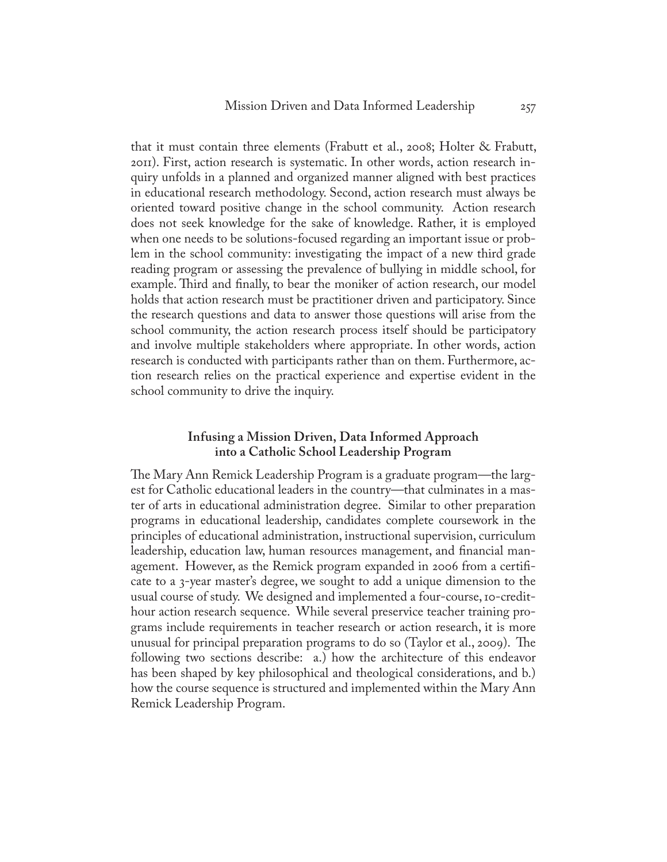that it must contain three elements (Frabutt et al., 2008; Holter & Frabutt, 2011). First, action research is systematic. In other words, action research inquiry unfolds in a planned and organized manner aligned with best practices in educational research methodology. Second, action research must always be oriented toward positive change in the school community. Action research does not seek knowledge for the sake of knowledge. Rather, it is employed when one needs to be solutions-focused regarding an important issue or problem in the school community: investigating the impact of a new third grade reading program or assessing the prevalence of bullying in middle school, for example. Third and finally, to bear the moniker of action research, our model holds that action research must be practitioner driven and participatory. Since the research questions and data to answer those questions will arise from the school community, the action research process itself should be participatory and involve multiple stakeholders where appropriate. In other words, action research is conducted with participants rather than on them. Furthermore, action research relies on the practical experience and expertise evident in the school community to drive the inquiry.

## **Infusing a Mission Driven, Data Informed Approach into a Catholic School Leadership Program**

The Mary Ann Remick Leadership Program is a graduate program—the largest for Catholic educational leaders in the country—that culminates in a master of arts in educational administration degree. Similar to other preparation programs in educational leadership, candidates complete coursework in the principles of educational administration, instructional supervision, curriculum leadership, education law, human resources management, and financial management. However, as the Remick program expanded in 2006 from a certificate to a 3-year master's degree, we sought to add a unique dimension to the usual course of study. We designed and implemented a four-course, 10-credithour action research sequence. While several preservice teacher training programs include requirements in teacher research or action research, it is more unusual for principal preparation programs to do so (Taylor et al., 2009). The following two sections describe: a.) how the architecture of this endeavor has been shaped by key philosophical and theological considerations, and b.) how the course sequence is structured and implemented within the Mary Ann Remick Leadership Program.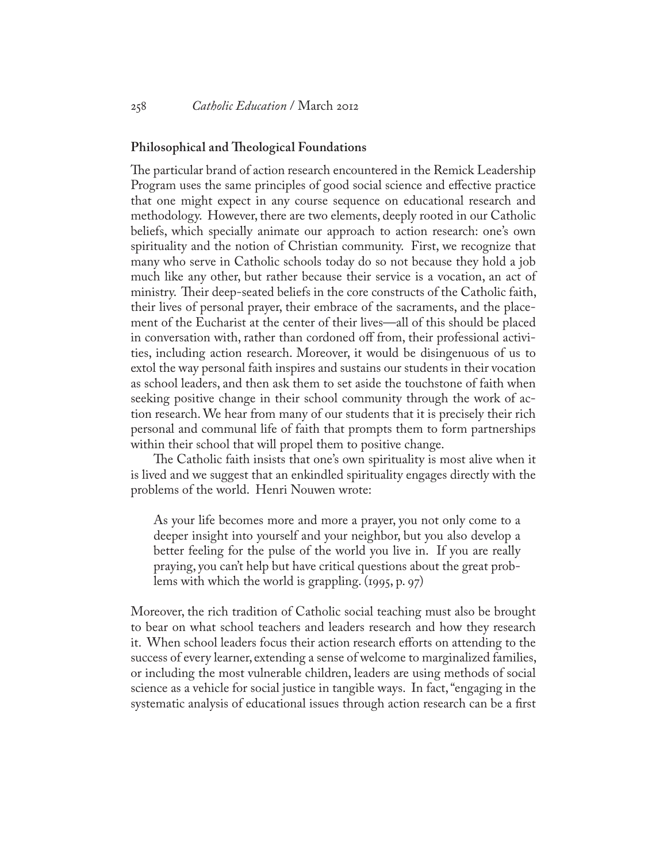#### **Philosophical and Theological Foundations**

The particular brand of action research encountered in the Remick Leadership Program uses the same principles of good social science and effective practice that one might expect in any course sequence on educational research and methodology. However, there are two elements, deeply rooted in our Catholic beliefs, which specially animate our approach to action research: one's own spirituality and the notion of Christian community. First, we recognize that many who serve in Catholic schools today do so not because they hold a job much like any other, but rather because their service is a vocation, an act of ministry. Their deep-seated beliefs in the core constructs of the Catholic faith, their lives of personal prayer, their embrace of the sacraments, and the placement of the Eucharist at the center of their lives—all of this should be placed in conversation with, rather than cordoned off from, their professional activities, including action research. Moreover, it would be disingenuous of us to extol the way personal faith inspires and sustains our students in their vocation as school leaders, and then ask them to set aside the touchstone of faith when seeking positive change in their school community through the work of action research. We hear from many of our students that it is precisely their rich personal and communal life of faith that prompts them to form partnerships within their school that will propel them to positive change.

The Catholic faith insists that one's own spirituality is most alive when it is lived and we suggest that an enkindled spirituality engages directly with the problems of the world. Henri Nouwen wrote:

As your life becomes more and more a prayer, you not only come to a deeper insight into yourself and your neighbor, but you also develop a better feeling for the pulse of the world you live in. If you are really praying, you can't help but have critical questions about the great problems with which the world is grappling. (1995, p. 97)

Moreover, the rich tradition of Catholic social teaching must also be brought to bear on what school teachers and leaders research and how they research it. When school leaders focus their action research efforts on attending to the success of every learner, extending a sense of welcome to marginalized families, or including the most vulnerable children, leaders are using methods of social science as a vehicle for social justice in tangible ways. In fact, "engaging in the systematic analysis of educational issues through action research can be a first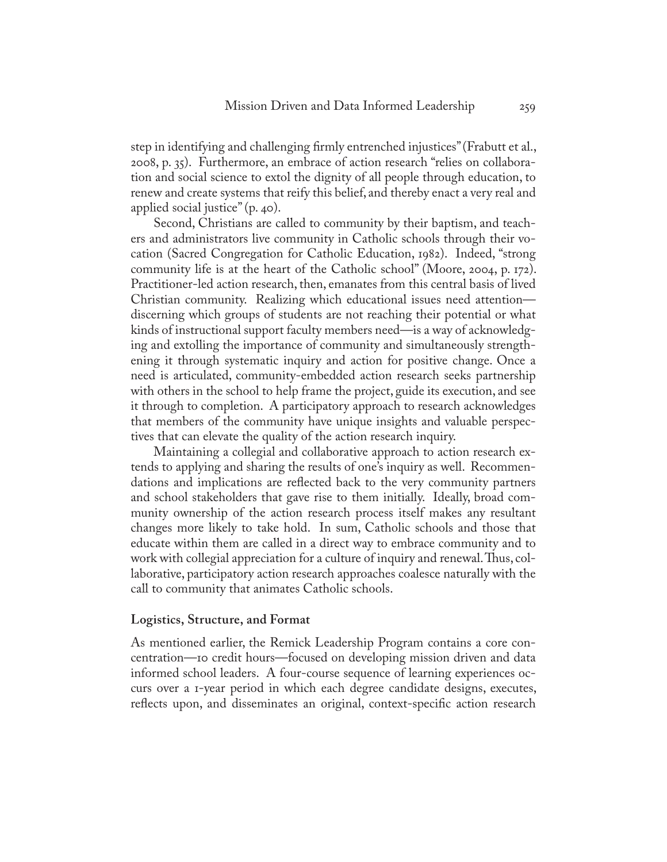step in identifying and challenging firmly entrenched injustices" (Frabutt et al., 2008, p. 35). Furthermore, an embrace of action research "relies on collaboration and social science to extol the dignity of all people through education, to renew and create systems that reify this belief, and thereby enact a very real and applied social justice" (p. 40).

Second, Christians are called to community by their baptism, and teachers and administrators live community in Catholic schools through their vocation (Sacred Congregation for Catholic Education, 1982). Indeed, "strong community life is at the heart of the Catholic school" (Moore, 2004, p. 172). Practitioner-led action research, then, emanates from this central basis of lived Christian community. Realizing which educational issues need attention discerning which groups of students are not reaching their potential or what kinds of instructional support faculty members need—is a way of acknowledging and extolling the importance of community and simultaneously strengthening it through systematic inquiry and action for positive change. Once a need is articulated, community-embedded action research seeks partnership with others in the school to help frame the project, guide its execution, and see it through to completion. A participatory approach to research acknowledges that members of the community have unique insights and valuable perspectives that can elevate the quality of the action research inquiry.

Maintaining a collegial and collaborative approach to action research extends to applying and sharing the results of one's inquiry as well. Recommendations and implications are reflected back to the very community partners and school stakeholders that gave rise to them initially. Ideally, broad community ownership of the action research process itself makes any resultant changes more likely to take hold. In sum, Catholic schools and those that educate within them are called in a direct way to embrace community and to work with collegial appreciation for a culture of inquiry and renewal. Thus, collaborative, participatory action research approaches coalesce naturally with the call to community that animates Catholic schools.

#### **Logistics, Structure, and Format**

As mentioned earlier, the Remick Leadership Program contains a core concentration—10 credit hours—focused on developing mission driven and data informed school leaders. A four-course sequence of learning experiences occurs over a 1-year period in which each degree candidate designs, executes, reflects upon, and disseminates an original, context-specific action research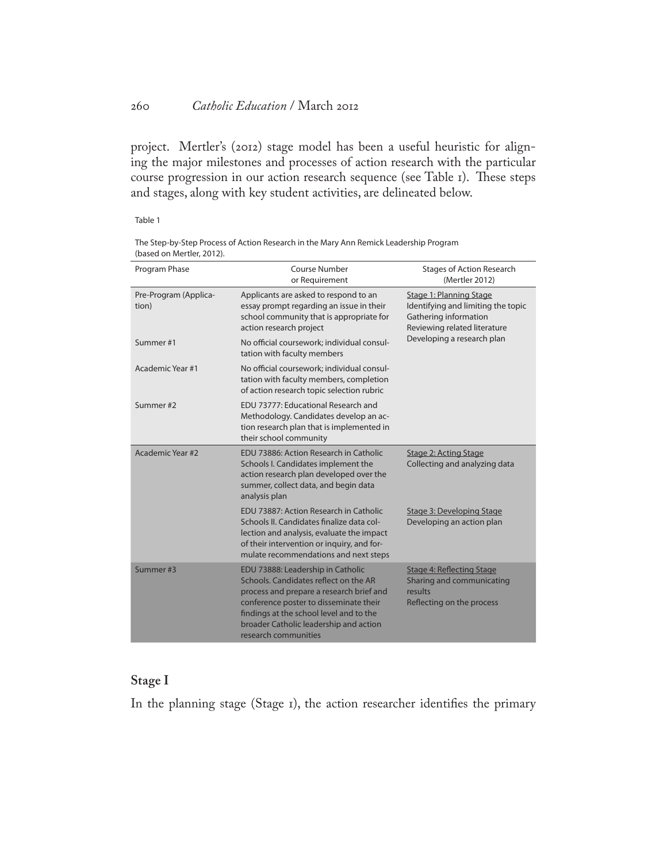project. Mertler's (2012) stage model has been a useful heuristic for aligning the major milestones and processes of action research with the particular course progression in our action research sequence (see Table 1). These steps and stages, along with key student activities, are delineated below.

Table 1

The Step-by-Step Process of Action Research in the Mary Ann Remick Leadership Program (based on Mertler, 2012).

| Program Phase                  | Course Number<br>or Requirement                                                                                                                                                                                                                                               | <b>Stages of Action Research</b><br>(Mertler 2012)                                                                                                          |
|--------------------------------|-------------------------------------------------------------------------------------------------------------------------------------------------------------------------------------------------------------------------------------------------------------------------------|-------------------------------------------------------------------------------------------------------------------------------------------------------------|
| Pre-Program (Applica-<br>tion) | Applicants are asked to respond to an<br>essay prompt regarding an issue in their<br>school community that is appropriate for<br>action research project                                                                                                                      | <b>Stage 1: Planning Stage</b><br>Identifying and limiting the topic<br>Gathering information<br>Reviewing related literature<br>Developing a research plan |
| Summer#1                       | No official coursework; individual consul-<br>tation with faculty members                                                                                                                                                                                                     |                                                                                                                                                             |
| Academic Year #1               | No official coursework; individual consul-<br>tation with faculty members, completion<br>of action research topic selection rubric                                                                                                                                            |                                                                                                                                                             |
| Summer #2                      | EDU 73777: Educational Research and<br>Methodology. Candidates develop an ac-<br>tion research plan that is implemented in<br>their school community                                                                                                                          |                                                                                                                                                             |
| Academic Year #2               | EDU 73886: Action Research in Catholic<br>Schools I. Candidates implement the<br>action research plan developed over the<br>summer, collect data, and begin data<br>analysis plan                                                                                             | <b>Stage 2: Acting Stage</b><br>Collecting and analyzing data                                                                                               |
|                                | EDU 73887: Action Research in Catholic<br>Schools II. Candidates finalize data col-<br>lection and analysis, evaluate the impact<br>of their intervention or inquiry, and for-<br>mulate recommendations and next steps                                                       | <b>Stage 3: Developing Stage</b><br>Developing an action plan                                                                                               |
| Summer#3                       | EDU 73888: Leadership in Catholic<br>Schools, Candidates reflect on the AR<br>process and prepare a research brief and<br>conference poster to disseminate their<br>findings at the school level and to the<br>broader Catholic leadership and action<br>research communities | <b>Stage 4: Reflecting Stage</b><br>Sharing and communicating<br>results<br>Reflecting on the process                                                       |

## **Stage I**

In the planning stage (Stage 1), the action researcher identifies the primary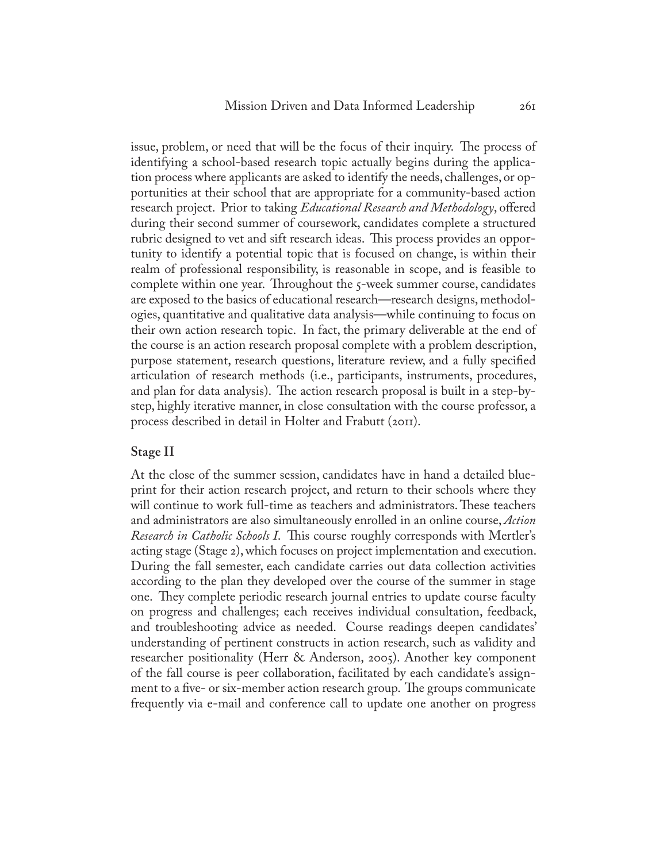issue, problem, or need that will be the focus of their inquiry. The process of identifying a school-based research topic actually begins during the application process where applicants are asked to identify the needs, challenges, or opportunities at their school that are appropriate for a community-based action research project. Prior to taking *Educational Research and Methodology*, offered during their second summer of coursework, candidates complete a structured rubric designed to vet and sift research ideas. This process provides an opportunity to identify a potential topic that is focused on change, is within their realm of professional responsibility, is reasonable in scope, and is feasible to complete within one year. Throughout the 5-week summer course, candidates are exposed to the basics of educational research—research designs, methodologies, quantitative and qualitative data analysis—while continuing to focus on their own action research topic. In fact, the primary deliverable at the end of the course is an action research proposal complete with a problem description, purpose statement, research questions, literature review, and a fully specified articulation of research methods (i.e., participants, instruments, procedures, and plan for data analysis). The action research proposal is built in a step-bystep, highly iterative manner, in close consultation with the course professor, a process described in detail in Holter and Frabutt (2011).

#### **Stage II**

At the close of the summer session, candidates have in hand a detailed blueprint for their action research project, and return to their schools where they will continue to work full-time as teachers and administrators. These teachers and administrators are also simultaneously enrolled in an online course, *Action Research in Catholic Schools I*. This course roughly corresponds with Mertler's acting stage (Stage 2), which focuses on project implementation and execution. During the fall semester, each candidate carries out data collection activities according to the plan they developed over the course of the summer in stage one. They complete periodic research journal entries to update course faculty on progress and challenges; each receives individual consultation, feedback, and troubleshooting advice as needed. Course readings deepen candidates' understanding of pertinent constructs in action research, such as validity and researcher positionality (Herr & Anderson, 2005). Another key component of the fall course is peer collaboration, facilitated by each candidate's assignment to a five- or six-member action research group. The groups communicate frequently via e-mail and conference call to update one another on progress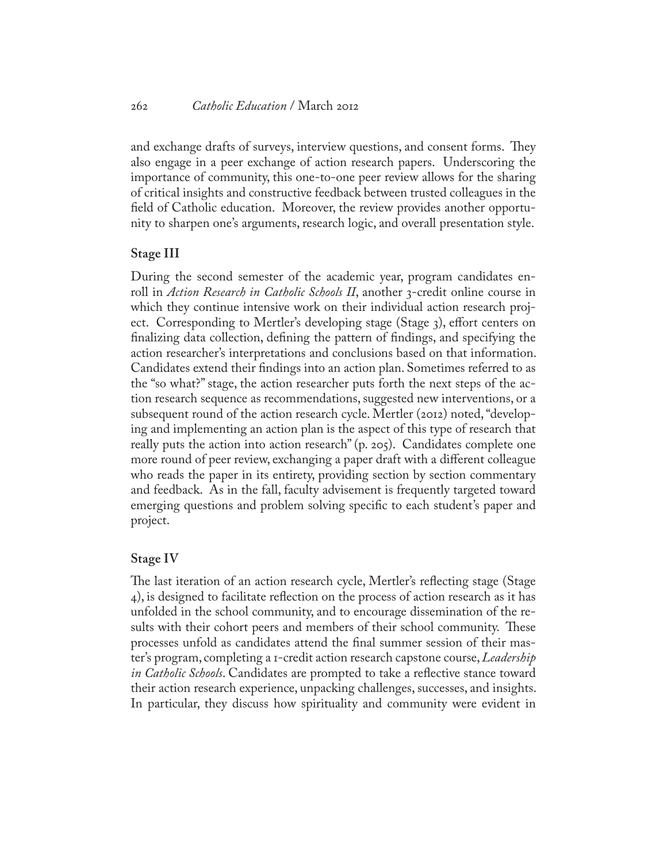and exchange drafts of surveys, interview questions, and consent forms. They also engage in a peer exchange of action research papers. Underscoring the importance of community, this one-to-one peer review allows for the sharing of critical insights and constructive feedback between trusted colleagues in the field of Catholic education. Moreover, the review provides another opportunity to sharpen one's arguments, research logic, and overall presentation style.

#### **Stage III**

During the second semester of the academic year, program candidates enroll in *Action Research in Catholic Schools II*, another 3-credit online course in which they continue intensive work on their individual action research project. Corresponding to Mertler's developing stage (Stage 3), effort centers on finalizing data collection, defining the pattern of findings, and specifying the action researcher's interpretations and conclusions based on that information. Candidates extend their findings into an action plan. Sometimes referred to as the "so what?" stage, the action researcher puts forth the next steps of the action research sequence as recommendations, suggested new interventions, or a subsequent round of the action research cycle. Mertler (2012) noted, "developing and implementing an action plan is the aspect of this type of research that really puts the action into action research" (p. 205). Candidates complete one more round of peer review, exchanging a paper draft with a different colleague who reads the paper in its entirety, providing section by section commentary and feedback. As in the fall, faculty advisement is frequently targeted toward emerging questions and problem solving specific to each student's paper and project.

#### **Stage IV**

The last iteration of an action research cycle, Mertler's reflecting stage (Stage 4), is designed to facilitate reflection on the process of action research as it has unfolded in the school community, and to encourage dissemination of the results with their cohort peers and members of their school community. These processes unfold as candidates attend the final summer session of their master's program, completing a 1-credit action research capstone course, *Leadership in Catholic Schools*. Candidates are prompted to take a reflective stance toward their action research experience, unpacking challenges, successes, and insights. In particular, they discuss how spirituality and community were evident in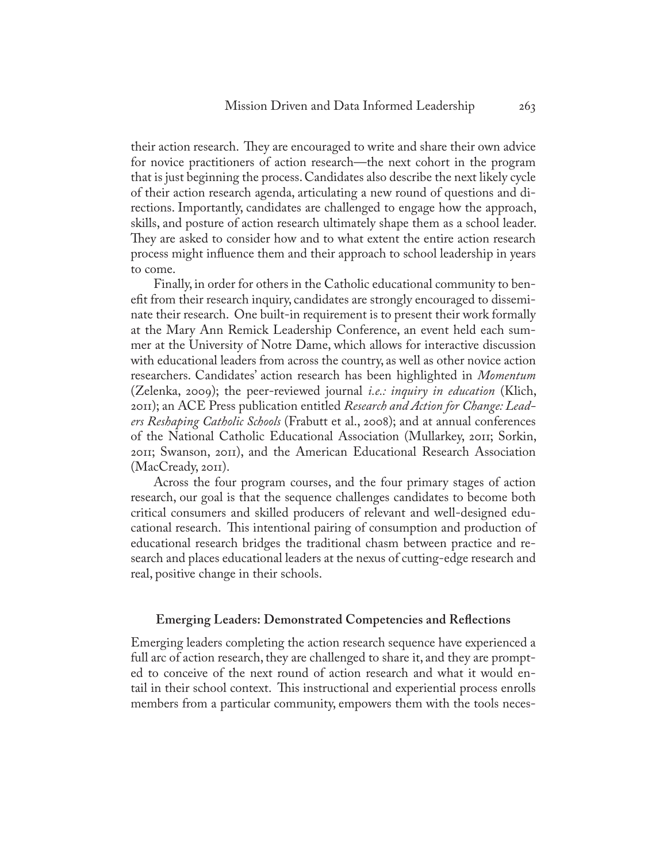their action research. They are encouraged to write and share their own advice for novice practitioners of action research—the next cohort in the program that is just beginning the process. Candidates also describe the next likely cycle of their action research agenda, articulating a new round of questions and directions. Importantly, candidates are challenged to engage how the approach, skills, and posture of action research ultimately shape them as a school leader. They are asked to consider how and to what extent the entire action research process might influence them and their approach to school leadership in years to come.

Finally, in order for others in the Catholic educational community to benefit from their research inquiry, candidates are strongly encouraged to disseminate their research. One built-in requirement is to present their work formally at the Mary Ann Remick Leadership Conference, an event held each summer at the University of Notre Dame, which allows for interactive discussion with educational leaders from across the country, as well as other novice action researchers. Candidates' action research has been highlighted in *Momentum*  (Zelenka, 2009); the peer-reviewed journal *i.e.: inquiry in education* (Klich, 2011); an ACE Press publication entitled *Research and Action for Change: Leaders Reshaping Catholic Schools* (Frabutt et al., 2008); and at annual conferences of the National Catholic Educational Association (Mullarkey, 2011; Sorkin, 2011; Swanson, 2011), and the American Educational Research Association (MacCready, 2011).

Across the four program courses, and the four primary stages of action research, our goal is that the sequence challenges candidates to become both critical consumers and skilled producers of relevant and well-designed educational research. This intentional pairing of consumption and production of educational research bridges the traditional chasm between practice and research and places educational leaders at the nexus of cutting-edge research and real, positive change in their schools.

#### **Emerging Leaders: Demonstrated Competencies and Reflections**

Emerging leaders completing the action research sequence have experienced a full arc of action research, they are challenged to share it, and they are prompted to conceive of the next round of action research and what it would entail in their school context. This instructional and experiential process enrolls members from a particular community, empowers them with the tools neces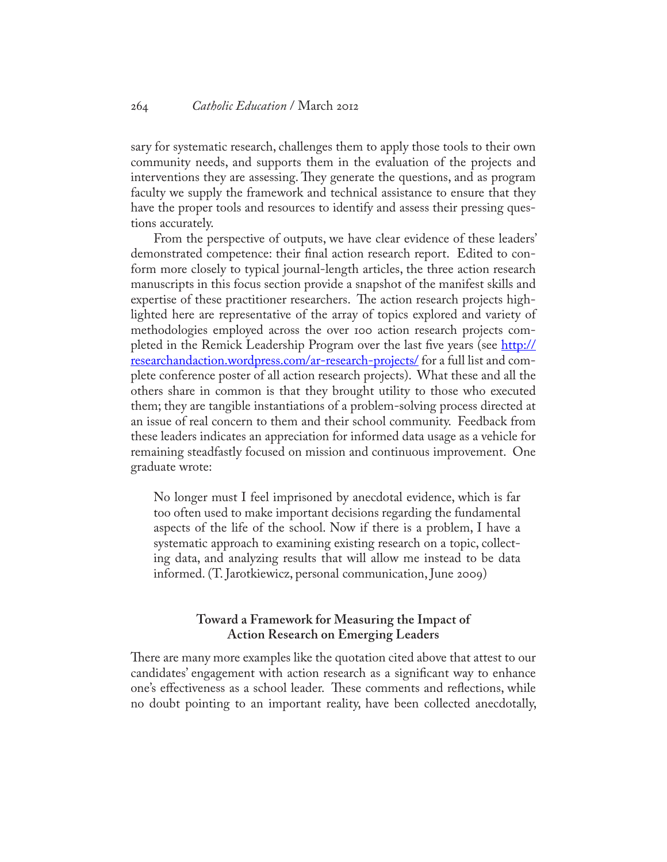sary for systematic research, challenges them to apply those tools to their own community needs, and supports them in the evaluation of the projects and interventions they are assessing. They generate the questions, and as program faculty we supply the framework and technical assistance to ensure that they have the proper tools and resources to identify and assess their pressing questions accurately.

From the perspective of outputs, we have clear evidence of these leaders' demonstrated competence: their final action research report. Edited to conform more closely to typical journal-length articles, the three action research manuscripts in this focus section provide a snapshot of the manifest skills and expertise of these practitioner researchers. The action research projects highlighted here are representative of the array of topics explored and variety of methodologies employed across the over 100 action research projects completed in the Remick Leadership Program over the last five years (see [http://](http://researchandaction.wordpress.com/ar-research-projects/) [researchandaction.wordpress.com/ar-research-projects/](http://researchandaction.wordpress.com/ar-research-projects/) for a full list and complete conference poster of all action research projects). What these and all the others share in common is that they brought utility to those who executed them; they are tangible instantiations of a problem-solving process directed at an issue of real concern to them and their school community. Feedback from these leaders indicates an appreciation for informed data usage as a vehicle for remaining steadfastly focused on mission and continuous improvement. One graduate wrote:

No longer must I feel imprisoned by anecdotal evidence, which is far too often used to make important decisions regarding the fundamental aspects of the life of the school. Now if there is a problem, I have a systematic approach to examining existing research on a topic, collecting data, and analyzing results that will allow me instead to be data informed. (T. Jarotkiewicz, personal communication, June 2009)

## **Toward a Framework for Measuring the Impact of Action Research on Emerging Leaders**

There are many more examples like the quotation cited above that attest to our candidates' engagement with action research as a significant way to enhance one's effectiveness as a school leader. These comments and reflections, while no doubt pointing to an important reality, have been collected anecdotally,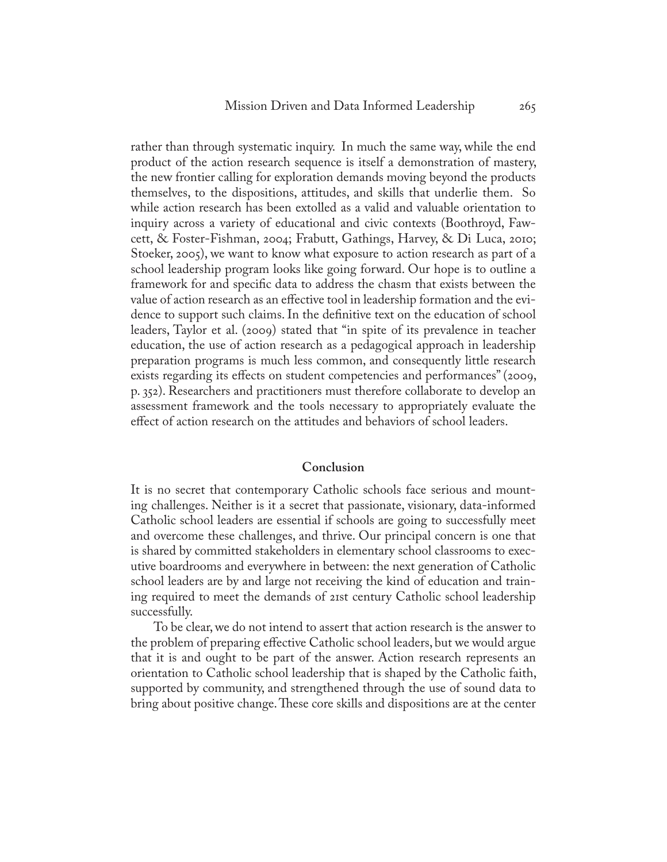rather than through systematic inquiry. In much the same way, while the end product of the action research sequence is itself a demonstration of mastery, the new frontier calling for exploration demands moving beyond the products themselves, to the dispositions, attitudes, and skills that underlie them. So while action research has been extolled as a valid and valuable orientation to inquiry across a variety of educational and civic contexts (Boothroyd, Fawcett, & Foster-Fishman, 2004; Frabutt, Gathings, Harvey, & Di Luca, 2010; Stoeker, 2005), we want to know what exposure to action research as part of a school leadership program looks like going forward. Our hope is to outline a framework for and specific data to address the chasm that exists between the value of action research as an effective tool in leadership formation and the evidence to support such claims. In the definitive text on the education of school leaders, Taylor et al. (2009) stated that "in spite of its prevalence in teacher education, the use of action research as a pedagogical approach in leadership preparation programs is much less common, and consequently little research exists regarding its effects on student competencies and performances" (2009, p. 352). Researchers and practitioners must therefore collaborate to develop an assessment framework and the tools necessary to appropriately evaluate the effect of action research on the attitudes and behaviors of school leaders.

#### **Conclusion**

It is no secret that contemporary Catholic schools face serious and mounting challenges. Neither is it a secret that passionate, visionary, data-informed Catholic school leaders are essential if schools are going to successfully meet and overcome these challenges, and thrive. Our principal concern is one that is shared by committed stakeholders in elementary school classrooms to executive boardrooms and everywhere in between: the next generation of Catholic school leaders are by and large not receiving the kind of education and training required to meet the demands of 21st century Catholic school leadership successfully.

To be clear, we do not intend to assert that action research is the answer to the problem of preparing effective Catholic school leaders, but we would argue that it is and ought to be part of the answer. Action research represents an orientation to Catholic school leadership that is shaped by the Catholic faith, supported by community, and strengthened through the use of sound data to bring about positive change. These core skills and dispositions are at the center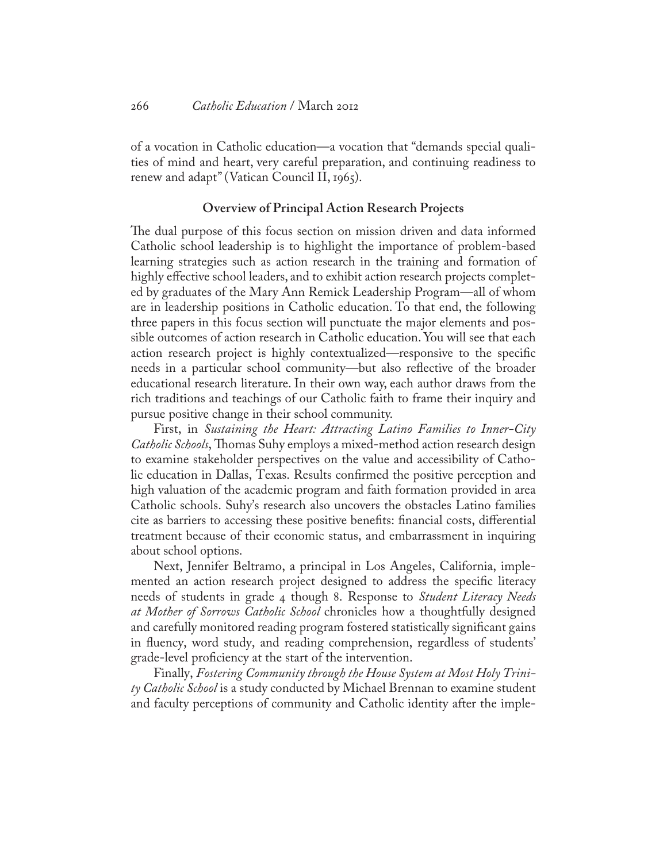of a vocation in Catholic education—a vocation that "demands special qualities of mind and heart, very careful preparation, and continuing readiness to renew and adapt" (Vatican Council II, 1965).

#### **Overview of Principal Action Research Projects**

The dual purpose of this focus section on mission driven and data informed Catholic school leadership is to highlight the importance of problem-based learning strategies such as action research in the training and formation of highly effective school leaders, and to exhibit action research projects completed by graduates of the Mary Ann Remick Leadership Program—all of whom are in leadership positions in Catholic education. To that end, the following three papers in this focus section will punctuate the major elements and possible outcomes of action research in Catholic education. You will see that each action research project is highly contextualized—responsive to the specific needs in a particular school community—but also reflective of the broader educational research literature. In their own way, each author draws from the rich traditions and teachings of our Catholic faith to frame their inquiry and pursue positive change in their school community.

First, in *Sustaining the Heart: Attracting Latino Families to Inner-City Catholic Schools*, Thomas Suhy employs a mixed-method action research design to examine stakeholder perspectives on the value and accessibility of Catholic education in Dallas, Texas. Results confirmed the positive perception and high valuation of the academic program and faith formation provided in area Catholic schools. Suhy's research also uncovers the obstacles Latino families cite as barriers to accessing these positive benefits: financial costs, differential treatment because of their economic status, and embarrassment in inquiring about school options.

Next, Jennifer Beltramo, a principal in Los Angeles, California, implemented an action research project designed to address the specific literacy needs of students in grade 4 though 8. Response to *Student Literacy Needs at Mother of Sorrows Catholic School* chronicles how a thoughtfully designed and carefully monitored reading program fostered statistically significant gains in fluency, word study, and reading comprehension, regardless of students' grade-level proficiency at the start of the intervention.

Finally, *Fostering Community through the House System at Most Holy Trinity Catholic School* is a study conducted by Michael Brennan to examine student and faculty perceptions of community and Catholic identity after the imple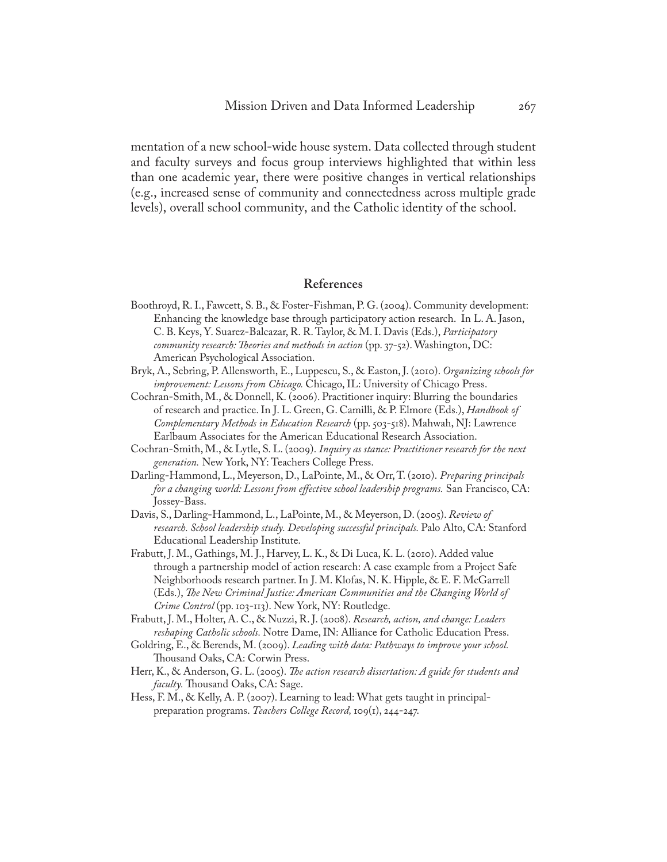mentation of a new school-wide house system. Data collected through student and faculty surveys and focus group interviews highlighted that within less than one academic year, there were positive changes in vertical relationships (e.g., increased sense of community and connectedness across multiple grade levels), overall school community, and the Catholic identity of the school.

#### **References**

- Boothroyd, R. I., Fawcett, S. B., & Foster-Fishman, P. G. (2004). Community development: Enhancing the knowledge base through participatory action research. In L. A. Jason, C. B. Keys, Y. Suarez-Balcazar, R. R. Taylor, & M. I. Davis (Eds.), *Participatory community research: Theories and methods in action* (pp. 37-52). Washington, DC: American Psychological Association.
- Bryk, A., Sebring, P. Allensworth, E., Luppescu, S., & Easton, J. (2010). *Organizing schools for improvement: Lessons from Chicago.* Chicago, IL: University of Chicago Press.
- Cochran-Smith, M., & Donnell, K. (2006). Practitioner inquiry: Blurring the boundaries of research and practice. In J. L. Green, G. Camilli, & P. Elmore (Eds.), *Handbook of Complementary Methods in Education Research* (pp. 503-518). Mahwah, NJ: Lawrence Earlbaum Associates for the American Educational Research Association.
- Cochran-Smith, M., & Lytle, S. L. (2009). *Inquiry as stance: Practitioner research for the next generation.* New York, NY: Teachers College Press.
- Darling-Hammond, L., Meyerson, D., LaPointe, M., & Orr, T. (2010). *Preparing principals for a changing world: Lessons from effective school leadership programs.* San Francisco, CA: Jossey-Bass.
- Davis, S., Darling-Hammond, L., LaPointe, M., & Meyerson, D. (2005). *Review of research. School leadership study. Developing successful principals.* Palo Alto, CA: Stanford Educational Leadership Institute.
- Frabutt, J. M., Gathings, M. J., Harvey, L. K., & Di Luca, K. L. (2010). Added value through a partnership model of action research: A case example from a Project Safe Neighborhoods research partner. In J. M. Klofas, N. K. Hipple, & E. F. McGarrell (Eds.), *The New Criminal Justice: American Communities and the Changing World of Crime Control* (pp. 103-113). New York, NY: Routledge.
- Frabutt, J. M., Holter, A. C., & Nuzzi, R. J. (2008). *Research, action, and change: Leaders reshaping Catholic schools.* Notre Dame, IN: Alliance for Catholic Education Press.
- Goldring, E., & Berends, M. (2009). *Leading with data: Pathways to improve your school.*  Thousand Oaks, CA: Corwin Press.
- Herr, K., & Anderson, G. L. (2005). *The action research dissertation: A guide for students and faculty.* Thousand Oaks, CA: Sage.
- Hess, F. M., & Kelly, A. P. (2007). Learning to lead: What gets taught in principalpreparation programs. *Teachers College Record,* 109(1), 244-247.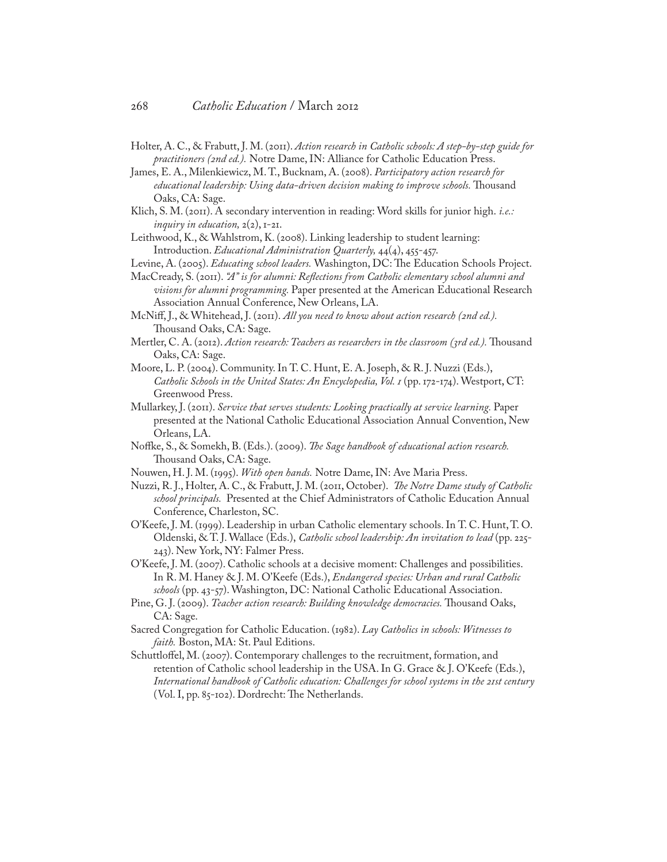- Holter, A. C., & Frabutt, J. M. (2011). *Action research in Catholic schools: A step-by-step guide for practitioners (2nd ed.).* Notre Dame, IN: Alliance for Catholic Education Press.
- James, E. A., Milenkiewicz, M. T., Bucknam, A. (2008). *Participatory action research for educational leadership: Using data-driven decision making to improve schools.* Thousand Oaks, CA: Sage.
- Klich, S. M. (2011). A secondary intervention in reading: Word skills for junior high. *i.e.: inquiry in education,*  $2(2)$ ,  $1-21$ .
- Leithwood, K., & Wahlstrom, K. (2008). Linking leadership to student learning: Introduction. *Educational Administration Quarterly,* 44(4), 455-457.
- Levine, A. (2005). *Educating school leaders.* Washington, DC: The Education Schools Project.
- MacCready, S. (2011). *"A" is for alumni: Reflections from Catholic elementary school alumni and visions for alumni programming.* Paper presented at the American Educational Research Association Annual Conference, New Orleans, LA.
- McNiff, J., & Whitehead, J. (2011). *All you need to know about action research (2nd ed.).*  Thousand Oaks, CA: Sage.
- Mertler, C. A. (2012). *Action research: Teachers as researchers in the classroom (3rd ed.).* Thousand Oaks, CA: Sage.
- Moore, L. P. (2004). Community. In T. C. Hunt, E. A. Joseph, & R. J. Nuzzi (Eds.), *Catholic Schools in the United States: An Encyclopedia, Vol. 1* (pp. 172-174). Westport, CT: Greenwood Press.
- Mullarkey, J. (2011). *Service that serves students: Looking practically at service learning.* Paper presented at the National Catholic Educational Association Annual Convention, New Orleans, LA.
- Noffke, S., & Somekh, B. (Eds.). (2009). *The Sage handbook of educational action research.*  Thousand Oaks, CA: Sage.
- Nouwen, H. J. M. (1995). *With open hands.* Notre Dame, IN: Ave Maria Press.
- Nuzzi, R. J., Holter, A. C., & Frabutt, J. M. (2011, October). *The Notre Dame study of Catholic school principals.* Presented at the Chief Administrators of Catholic Education Annual Conference, Charleston, SC.
- O'Keefe, J. M. (1999). Leadership in urban Catholic elementary schools. In T. C. Hunt, T. O. Oldenski, & T. J. Wallace (Eds.), *Catholic school leadership: An invitation to lead* (pp. 225- 243). New York, NY: Falmer Press.
- O'Keefe, J. M. (2007). Catholic schools at a decisive moment: Challenges and possibilities. In R. M. Haney & J. M. O'Keefe (Eds.), *Endangered species: Urban and rural Catholic schools* (pp. 43-57). Washington, DC: National Catholic Educational Association.
- Pine, G. J. (2009). *Teacher action research: Building knowledge democracies.* Thousand Oaks, CA: Sage.
- Sacred Congregation for Catholic Education. (1982). *Lay Catholics in schools: Witnesses to faith.* Boston, MA: St. Paul Editions.
- Schuttloffel, M. (2007). Contemporary challenges to the recruitment, formation, and retention of Catholic school leadership in the USA. In G. Grace & J. O'Keefe (Eds.), *International handbook of Catholic education: Challenges for school systems in the 21st century*  (Vol. I, pp. 85-102). Dordrecht: The Netherlands.